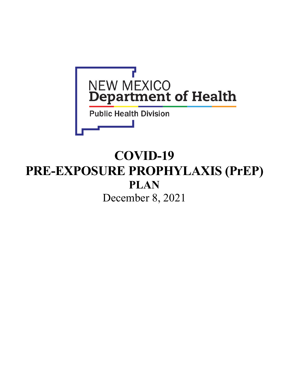

# **COVID-19 PRE-EXPOSURE PROPHYLAXIS (PrEP) PLAN** December 8, 2021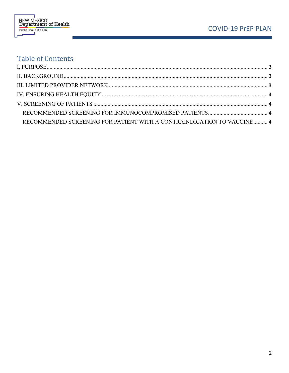

# **Table of Contents**

| RECOMMENDED SCREENING FOR PATIENT WITH A CONTRAINDICATION TO VACCINE  4 |  |
|-------------------------------------------------------------------------|--|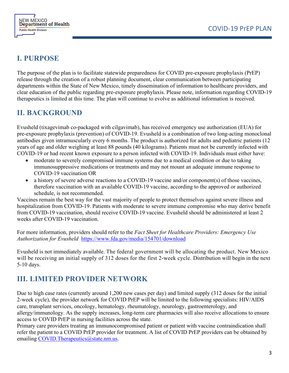



## <span id="page-2-0"></span>**I. PURPOSE**

The purpose of the plan is to facilitate statewide preparedness for COVID pre-exposure prophylaxis (PrEP) release through the creation of a robust planning document, clear communication between participating departments within the State of New Mexico, timely dissemination of information to healthcare providers, and clear education of the public regarding pre-exposure prophylaxis. Please note, information regarding COVID-19 therapeutics is limited at this time. The plan will continue to evolve as additional information is received.

### <span id="page-2-1"></span>**II. BACKGROUND**

Evusheld (tixagevimab co-packaged with cilgavimab), has received emergency use authorization (EUA) for pre-exposure prophylaxis (prevention) of COVID-19. Evusheld is a combination of two long-acting monoclonal antibodies given intramuscularly every 6 months. The product is authorized for adults and pediatric patients (12 years of age and older weighing at least 88 pounds (40 kilograms). Patients must not be currently infected with COVID-19 or had recent known exposure to a person infected with COVID-19. Individuals must either have:

- moderate to severely compromised immune systems due to a medical condition or due to taking immunosuppressive medications or treatments and may not mount an adequate immune response to COVID-19 vaccination OR
- a history of severe adverse reactions to a COVID-19 vaccine and/or component(s) of those vaccines, therefore vaccination with an available COVID-19 vaccine, according to the approved or authorized schedule, is not recommended.

Vaccines remain the best way for the vast majority of people to protect themselves against severe illness and hospitalization from COVID-19. Patients with moderate to severe immune compromise who may derive benefit from COVID-19 vaccination, should receive COVID-19 vaccine. Evusheld should be administered at least 2 weeks after COVID-19 vaccination.

For more information, providers should refer to the *Fact Sheet for Healthcare Providers: Emergency Use Authorization for Evusheld* <https://www.fda.gov/media/154701/download>

Evusheld is not immediately available. The federal government will be allocating the product. New Mexico will be receiving an initial supply of 312 doses for the first 2-week cycle. Distribution will begin in the next 5-10 days.

## <span id="page-2-2"></span>**III. LIMITED PROVIDER NETWORK**

Due to high case rates (currently around 1,200 new cases per day) and limited supply (312 doses for the initial 2-week cycle), the provider network for COVID PrEP will be limited to the following specialists: HIV/AIDS care, transplant services, oncology, hematology, rheumatology, neurology, gastroenterology, and allergy/immunology. As the supply increases, long-term care pharmacies will also receive allocations to ensure access to COVID PrEP in nursing facilities across the state.

Primary care providers treating an immunocompromised patient or patient with vaccine contraindication shall refer the patient to a COVID PrEP provider for treatment. A list of COVID PrEP providers can be obtained by emailing [COVID.Therapeutics@state.nm.us.](mailto:COVID.Therapeutics@state.nm.us)